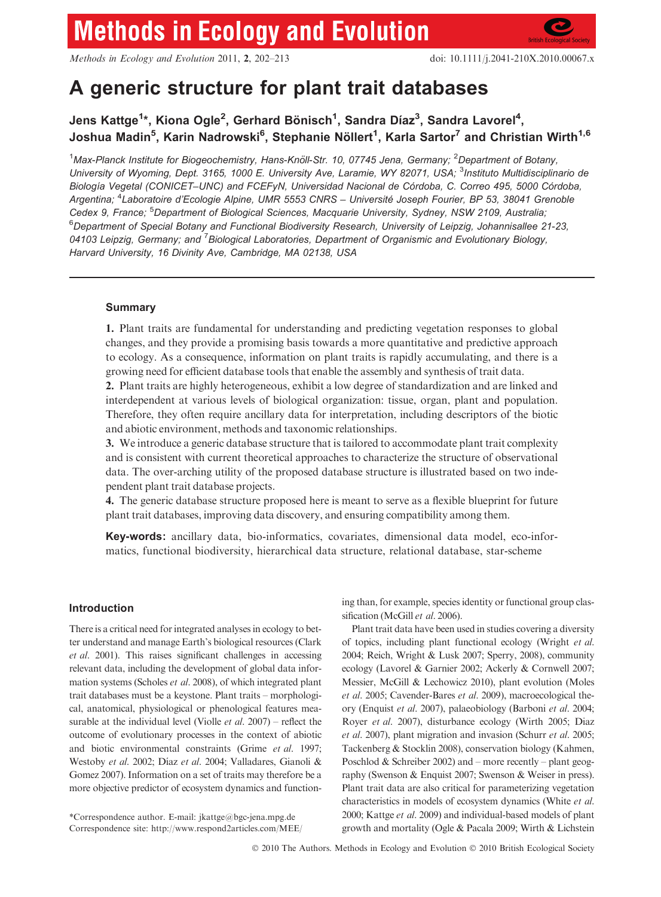Methods in Ecology and Evolution 2011, 2, 202–213 doi: 10.1111/j.2041-210X.2010.00067.x

# A generic structure for plant trait databases

# Jens Kattge<sup>1</sup>\*, Kiona Ogle<sup>2</sup>, Gerhard Bönisch<sup>1</sup>, Sandra Díaz<sup>3</sup>, Sandra Lavorel<sup>4</sup>, Joshua Madin<sup>5</sup>, Karin Nadrowski<sup>6</sup>, Stephanie Nöllert<sup>1</sup>, Karla Sartor<sup>7</sup> and Christian Wirth<sup>1,6</sup>

<sup>1</sup>Max-Planck Institute for Biogeochemistry, Hans-Knöll-Str. 10, 07745 Jena, Germany; <sup>2</sup>Department of Botany, University of Wyoming, Dept. 3165, 1000 E. University Ave, Laramie, WY 82071, USA; <sup>3</sup>Instituto Multidisciplinario de Biología Vegetal (CONICET–UNC) and FCEFyN, Universidad Nacional de Córdoba, C. Correo 495, 5000 Córdoba, Argentina; <sup>4</sup>Laboratoire d'Ecologie Alpine, UMR 5553 CNRS – Université Joseph Fourier, BP 53, 38041 Grenoble Cedex 9, France; <sup>5</sup>Department of Biological Sciences, Macquarie University, Sydney, NSW 2109, Australia, 6 Department of Special Botany and Functional Biodiversity Research, University of Leipzig, Johannisallee 21-23, 04103 Leipzig, Germany; and <sup>7</sup> Biological Laboratories, Department of Organismic and Evolutionary Biology, Harvard University, 16 Divinity Ave, Cambridge, MA 02138, USA

# Summary

1. Plant traits are fundamental for understanding and predicting vegetation responses to global changes, and they provide a promising basis towards a more quantitative and predictive approach to ecology. As a consequence, information on plant traits is rapidly accumulating, and there is a growing need for efficient database tools that enable the assembly and synthesis of trait data.

2. Plant traits are highly heterogeneous, exhibit a low degree of standardization and are linked and interdependent at various levels of biological organization: tissue, organ, plant and population. Therefore, they often require ancillary data for interpretation, including descriptors of the biotic and abiotic environment, methods and taxonomic relationships.

3. We introduce a generic database structure that is tailored to accommodate plant trait complexity and is consistent with current theoretical approaches to characterize the structure of observational data. The over-arching utility of the proposed database structure is illustrated based on two independent plant trait database projects.

4. The generic database structure proposed here is meant to serve as a flexible blueprint for future plant trait databases, improving data discovery, and ensuring compatibility among them.

Key-words: ancillary data, bio-informatics, covariates, dimensional data model, eco-informatics, functional biodiversity, hierarchical data structure, relational database, star-scheme

# Introduction

There is a critical need for integrated analyses in ecology to better understand and manage Earth's biological resources (Clark et al. 2001). This raises significant challenges in accessing relevant data, including the development of global data information systems (Scholes et al. 2008), of which integrated plant trait databases must be a keystone. Plant traits – morphological, anatomical, physiological or phenological features measurable at the individual level (Violle et al.  $2007$ ) – reflect the outcome of evolutionary processes in the context of abiotic and biotic environmental constraints (Grime et al. 1997; Westoby et al. 2002; Díaz et al. 2004; Valladares, Gianoli & Gomez 2007). Information on a set of traits may therefore be a more objective predictor of ecosystem dynamics and function-

\*Correspondence author. E-mail: jkattge@bgc-jena.mpg.de Correspondence site: http://www.respond2articles.com/MEE/ ing than, for example, species identity or functional group classification (McGill et al. 2006).

Plant trait data have been used in studies covering a diversity of topics, including plant functional ecology (Wright et al. 2004; Reich, Wright & Lusk 2007; Sperry, 2008), community ecology (Lavorel & Garnier 2002; Ackerly & Cornwell 2007; Messier, McGill & Lechowicz 2010), plant evolution (Moles et al. 2005; Cavender-Bares et al. 2009), macroecological theory (Enquist et al. 2007), palaeobiology (Barboni et al. 2004; Royer et al. 2007), disturbance ecology (Wirth 2005; Diaz et al. 2007), plant migration and invasion (Schurr et al. 2005; Tackenberg & Stocklin 2008), conservation biology (Kahmen, Poschlod  $&$  Schreiber 2002) and – more recently – plant geography (Swenson & Enquist 2007; Swenson & Weiser in press). Plant trait data are also critical for parameterizing vegetation characteristics in models of ecosystem dynamics (White et al. 2000; Kattge et al. 2009) and individual-based models of plant growth and mortality (Ogle & Pacala 2009; Wirth & Lichstein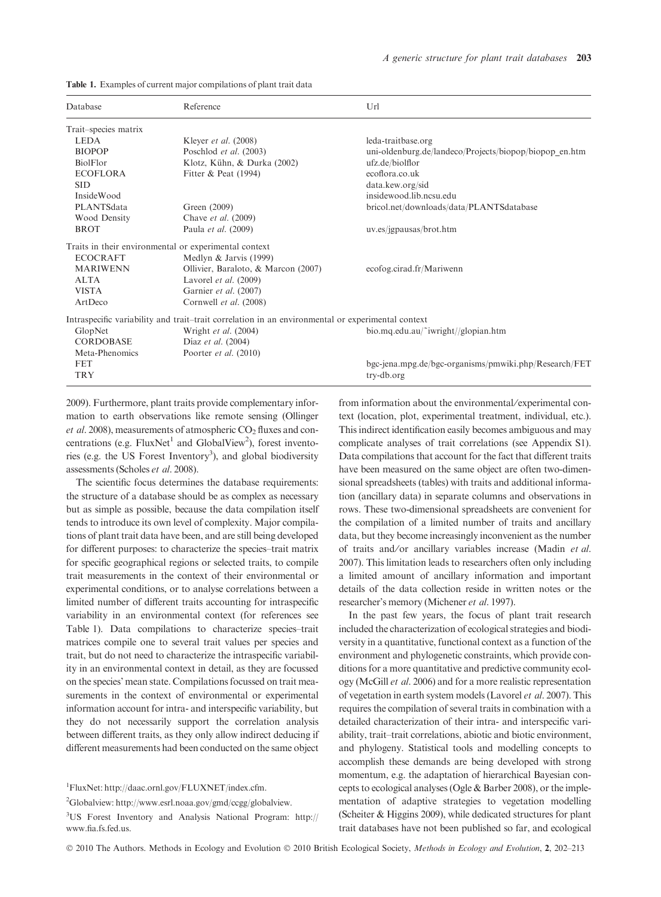| Database             | Reference                                                                                         | Url                                                    |  |
|----------------------|---------------------------------------------------------------------------------------------------|--------------------------------------------------------|--|
| Trait-species matrix |                                                                                                   |                                                        |  |
| <b>LEDA</b>          | Kleyer et al. (2008)                                                                              | leda-traitbase.org                                     |  |
| <b>BIOPOP</b>        | Poschlod et al. (2003)                                                                            | uni-oldenburg.de/landeco/Projects/biopop/biopop en.htm |  |
| BiolFlor             | Klotz, Kühn, & Durka (2002)                                                                       | ufz.de/biolflor                                        |  |
| <b>ECOFLORA</b>      | Fitter & Peat (1994)                                                                              | ecoflora.co.uk                                         |  |
| <b>SID</b>           |                                                                                                   | data.kew.org/sid                                       |  |
| InsideWood           |                                                                                                   | insidewood.lib.ncsu.edu                                |  |
| PLANTSdata           | Green (2009)                                                                                      | bricol.net/downloads/data/PLANTSdatabase               |  |
| Wood Density         | Chave et al. (2009)                                                                               |                                                        |  |
| <b>BROT</b>          | Paula et al. (2009)                                                                               | uv.es/jgpausas/brot.htm                                |  |
|                      | Traits in their environmental or experimental context                                             |                                                        |  |
| <b>ECOCRAFT</b>      | Medlyn & Jarvis (1999)                                                                            |                                                        |  |
| <b>MARIWENN</b>      | Ollivier, Baraloto, & Marcon (2007)                                                               | ecofog.cirad.fr/Mariwenn                               |  |
| <b>ALTA</b>          | Lavorel et al. (2009)                                                                             |                                                        |  |
| <b>VISTA</b>         | Garnier et al. (2007)                                                                             |                                                        |  |
| ArtDeco              | Cornwell et al. (2008)                                                                            |                                                        |  |
|                      | Intraspecific variability and trait-trait correlation in an environmental or experimental context |                                                        |  |
| GlopNet              | Wright et al. (2004)                                                                              | bio.mq.edu.au/"iwright//glopian.htm                    |  |
| <b>CORDOBASE</b>     | Díaz et al. (2004)                                                                                |                                                        |  |
| Meta-Phenomics       | Poorter et al. (2010)                                                                             |                                                        |  |
| <b>FET</b>           |                                                                                                   | bgc-jena.mpg.de/bgc-organisms/pmwiki.php/Research/FET  |  |
| <b>TRY</b>           |                                                                                                   | try-db.org                                             |  |

Table 1. Examples of current major compilations of plant trait data

2009). Furthermore, plant traits provide complementary information to earth observations like remote sensing (Ollinger et al. 2008), measurements of atmospheric  $CO<sub>2</sub>$  fluxes and concentrations (e.g.  $FluxNet<sup>1</sup>$  and GlobalView<sup>2</sup>), forest inventories (e.g. the US Forest Inventory<sup>3</sup>), and global biodiversity assessments (Scholes et al. 2008).

The scientific focus determines the database requirements: the structure of a database should be as complex as necessary but as simple as possible, because the data compilation itself tends to introduce its own level of complexity. Major compilations of plant trait data have been, and are still being developed for different purposes: to characterize the species–trait matrix for specific geographical regions or selected traits, to compile trait measurements in the context of their environmental or experimental conditions, or to analyse correlations between a limited number of different traits accounting for intraspecific variability in an environmental context (for references see Table 1). Data compilations to characterize species–trait matrices compile one to several trait values per species and trait, but do not need to characterize the intraspecific variability in an environmental context in detail, as they are focussed on the species' mean state. Compilations focussed on trait measurements in the context of environmental or experimental information account for intra- and interspecific variability, but they do not necessarily support the correlation analysis between different traits, as they only allow indirect deducing if different measurements had been conducted on the same object

1 FluxNet: http://daac.ornl.gov/FLUXNET/index.cfm.

<sup>2</sup>Globalview: http://www.esrl.noaa.gov/gmd/ccgg/globalview.

from information about the environmental/experimental context (location, plot, experimental treatment, individual, etc.). This indirect identification easily becomes ambiguous and may complicate analyses of trait correlations (see Appendix S1). Data compilations that account for the fact that different traits have been measured on the same object are often two-dimensional spreadsheets (tables) with traits and additional information (ancillary data) in separate columns and observations in rows. These two-dimensional spreadsheets are convenient for the compilation of a limited number of traits and ancillary data, but they become increasingly inconvenient as the number of traits and/or ancillary variables increase (Madin et al. 2007). This limitation leads to researchers often only including a limited amount of ancillary information and important details of the data collection reside in written notes or the researcher's memory (Michener et al. 1997).

In the past few years, the focus of plant trait research included the characterization of ecological strategies and biodiversity in a quantitative, functional context as a function of the environment and phylogenetic constraints, which provide conditions for a more quantitative and predictive community ecology (McGill et al. 2006) and for a more realistic representation of vegetation in earth system models (Lavorel et al. 2007). This requires the compilation of several traits in combination with a detailed characterization of their intra- and interspecific variability, trait–trait correlations, abiotic and biotic environment, and phylogeny. Statistical tools and modelling concepts to accomplish these demands are being developed with strong momentum, e.g. the adaptation of hierarchical Bayesian concepts to ecological analyses (Ogle & Barber 2008), or the implementation of adaptive strategies to vegetation modelling (Scheiter & Higgins 2009), while dedicated structures for plant trait databases have not been published so far, and ecological

<sup>3</sup> US Forest Inventory and Analysis National Program: http:// www.fia.fs.fed.us.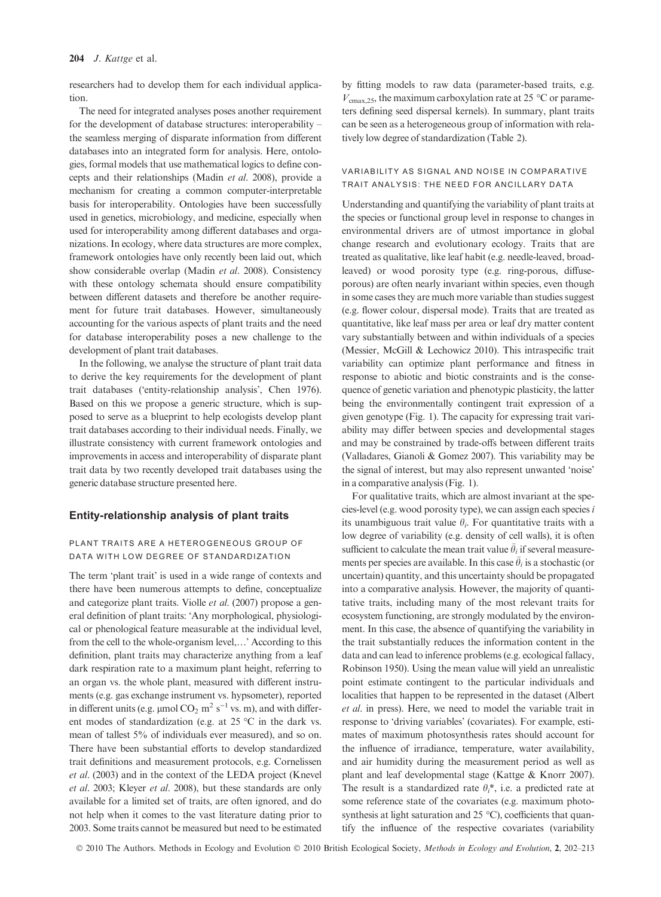researchers had to develop them for each individual application.

The need for integrated analyses poses another requirement for the development of database structures: interoperability – the seamless merging of disparate information from different databases into an integrated form for analysis. Here, ontologies, formal models that use mathematical logics to define concepts and their relationships (Madin et al. 2008), provide a mechanism for creating a common computer-interpretable basis for interoperability. Ontologies have been successfully used in genetics, microbiology, and medicine, especially when used for interoperability among different databases and organizations. In ecology, where data structures are more complex, framework ontologies have only recently been laid out, which show considerable overlap (Madin et al. 2008). Consistency with these ontology schemata should ensure compatibility between different datasets and therefore be another requirement for future trait databases. However, simultaneously accounting for the various aspects of plant traits and the need for database interoperability poses a new challenge to the development of plant trait databases.

In the following, we analyse the structure of plant trait data to derive the key requirements for the development of plant trait databases ('entity-relationship analysis', Chen 1976). Based on this we propose a generic structure, which is supposed to serve as a blueprint to help ecologists develop plant trait databases according to their individual needs. Finally, we illustrate consistency with current framework ontologies and improvements in access and interoperability of disparate plant trait data by two recently developed trait databases using the generic database structure presented here.

#### Entity-relationship analysis of plant traits

# PLANT TRAITS ARE A HETEROGENEOUS GROUP OF DATA WITH LOW DEGREE OF STANDARDIZATION

The term 'plant trait' is used in a wide range of contexts and there have been numerous attempts to define, conceptualize and categorize plant traits. Violle et al. (2007) propose a general definition of plant traits: 'Any morphological, physiological or phenological feature measurable at the individual level, from the cell to the whole-organism level,…' According to this definition, plant traits may characterize anything from a leaf dark respiration rate to a maximum plant height, referring to an organ vs. the whole plant, measured with different instruments (e.g. gas exchange instrument vs. hypsometer), reported in different units (e.g.  $\mu$ mol CO<sub>2</sub> m<sup>2</sup> s<sup>-1</sup> vs. m), and with different modes of standardization (e.g. at  $25^{\circ}$ C in the dark vs. mean of tallest 5% of individuals ever measured), and so on. There have been substantial efforts to develop standardized trait definitions and measurement protocols, e.g. Cornelissen et al. (2003) and in the context of the LEDA project (Knevel et al. 2003; Kleyer et al. 2008), but these standards are only available for a limited set of traits, are often ignored, and do not help when it comes to the vast literature dating prior to 2003. Some traits cannot be measured but need to be estimated

by fitting models to raw data (parameter-based traits, e.g.  $V_{\text{cmax}}$ <sub>25</sub>, the maximum carboxylation rate at 25 °C or parameters defining seed dispersal kernels). In summary, plant traits can be seen as a heterogeneous group of information with relatively low degree of standardization (Table 2).

### VARIABILITY AS SIGNAL AND NOISE IN COMPARATIVE TRAIT ANALYSIS: THE NEED FOR ANCILLARY DATA

Understanding and quantifying the variability of plant traits at the species or functional group level in response to changes in environmental drivers are of utmost importance in global change research and evolutionary ecology. Traits that are treated as qualitative, like leaf habit (e.g. needle-leaved, broadleaved) or wood porosity type (e.g. ring-porous, diffuseporous) are often nearly invariant within species, even though in some cases they are much more variable than studies suggest (e.g. flower colour, dispersal mode). Traits that are treated as quantitative, like leaf mass per area or leaf dry matter content vary substantially between and within individuals of a species (Messier, McGill & Lechowicz 2010). This intraspecific trait variability can optimize plant performance and fitness in response to abiotic and biotic constraints and is the consequence of genetic variation and phenotypic plasticity, the latter being the environmentally contingent trait expression of a given genotype (Fig. 1). The capacity for expressing trait variability may differ between species and developmental stages and may be constrained by trade-offs between different traits (Valladares, Gianoli & Gomez 2007). This variability may be the signal of interest, but may also represent unwanted 'noise' in a comparative analysis (Fig. 1).

For qualitative traits, which are almost invariant at the species-level (e.g. wood porosity type), we can assign each species i its unambiguous trait value  $\theta_i$ . For quantitative traits with a low degree of variability (e.g. density of cell walls), it is often sufficient to calculate the mean trait value  $\bar{\theta}_i$  if several measurements per species are available. In this case  $\bar{\theta}_i$  is a stochastic (or uncertain) quantity, and this uncertainty should be propagated into a comparative analysis. However, the majority of quantitative traits, including many of the most relevant traits for ecosystem functioning, are strongly modulated by the environment. In this case, the absence of quantifying the variability in the trait substantially reduces the information content in the data and can lead to inference problems (e.g. ecological fallacy, Robinson 1950). Using the mean value will yield an unrealistic point estimate contingent to the particular individuals and localities that happen to be represented in the dataset (Albert et al. in press). Here, we need to model the variable trait in response to 'driving variables' (covariates). For example, estimates of maximum photosynthesis rates should account for the influence of irradiance, temperature, water availability, and air humidity during the measurement period as well as plant and leaf developmental stage (Kattge & Knorr 2007). The result is a standardized rate  $\theta_i^*$ , i.e. a predicted rate at some reference state of the covariates (e.g. maximum photosynthesis at light saturation and  $25^{\circ}$ C), coefficients that quantify the influence of the respective covariates (variability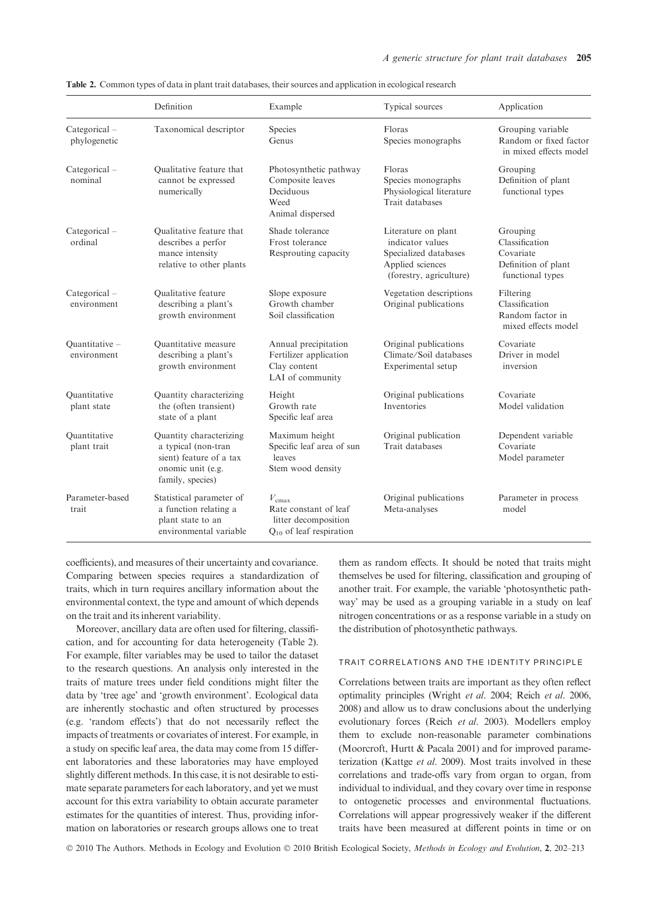|                                | Definition                                                                                                         | Example                                                                                            | Typical sources                                                                                                 | Application                                                                        |
|--------------------------------|--------------------------------------------------------------------------------------------------------------------|----------------------------------------------------------------------------------------------------|-----------------------------------------------------------------------------------------------------------------|------------------------------------------------------------------------------------|
| Categorical -<br>phylogenetic  | Taxonomical descriptor                                                                                             | Species<br>Genus                                                                                   | Floras<br>Species monographs                                                                                    | Grouping variable<br>Random or fixed factor<br>in mixed effects model              |
| $Categorical -$<br>nominal     | Qualitative feature that<br>cannot be expressed<br>numerically                                                     | Photosynthetic pathway<br>Composite leaves<br>Deciduous<br>Weed<br>Animal dispersed                | Floras<br>Species monographs<br>Physiological literature<br>Trait databases                                     | Grouping<br>Definition of plant<br>functional types                                |
| $Categorical -$<br>ordinal     | Qualitative feature that<br>describes a perfor<br>mance intensity<br>relative to other plants                      | Shade tolerance<br>Frost tolerance<br>Resprouting capacity                                         | Literature on plant<br>indicator values<br>Specialized databases<br>Applied sciences<br>(forestry, agriculture) | Grouping<br>Classification<br>Covariate<br>Definition of plant<br>functional types |
| $Categorical -$<br>environment | Qualitative feature<br>describing a plant's<br>growth environment                                                  | Slope exposure<br>Growth chamber<br>Soil classification                                            | Vegetation descriptions<br>Original publications                                                                | Filtering<br>Classification<br>Random factor in<br>mixed effects model             |
| Quantitative -<br>environment  | Quantitative measure<br>describing a plant's<br>growth environment                                                 | Annual precipitation<br>Fertilizer application<br>Clay content<br>LAI of community                 | Original publications<br>Climate/Soil databases<br>Experimental setup                                           | Covariate<br>Driver in model<br>inversion                                          |
| Ouantitative<br>plant state    | Quantity characterizing<br>the (often transient)<br>state of a plant                                               | Height<br>Growth rate<br>Specific leaf area                                                        | Original publications<br>Inventories                                                                            | Covariate<br>Model validation                                                      |
| Quantitative<br>plant trait    | Quantity characterizing<br>a typical (non-tran<br>sient) feature of a tax<br>onomic unit (e.g.<br>family, species) | Maximum height<br>Specific leaf area of sun<br>leaves<br>Stem wood density                         | Original publication<br>Trait databases                                                                         | Dependent variable<br>Covariate<br>Model parameter                                 |
| Parameter-based<br>trait       | Statistical parameter of<br>a function relating a<br>plant state to an<br>environmental variable                   | $V_{\text{cmax}}$<br>Rate constant of leaf<br>litter decomposition<br>$Q_{10}$ of leaf respiration | Original publications<br>Meta-analyses                                                                          | Parameter in process<br>model                                                      |

Table 2. Common types of data in plant trait databases, their sources and application in ecological research

coefficients), and measures of their uncertainty and covariance. Comparing between species requires a standardization of traits, which in turn requires ancillary information about the environmental context, the type and amount of which depends on the trait and its inherent variability.

Moreover, ancillary data are often used for filtering, classification, and for accounting for data heterogeneity (Table 2). For example, filter variables may be used to tailor the dataset to the research questions. An analysis only interested in the traits of mature trees under field conditions might filter the data by 'tree age' and 'growth environment'. Ecological data are inherently stochastic and often structured by processes (e.g. 'random effects') that do not necessarily reflect the impacts of treatments or covariates of interest. For example, in a study on specific leaf area, the data may come from 15 different laboratories and these laboratories may have employed slightly different methods. In this case, it is not desirable to estimate separate parameters for each laboratory, and yet we must account for this extra variability to obtain accurate parameter estimates for the quantities of interest. Thus, providing information on laboratories or research groups allows one to treat them as random effects. It should be noted that traits might themselves be used for filtering, classification and grouping of another trait. For example, the variable 'photosynthetic pathway' may be used as a grouping variable in a study on leaf nitrogen concentrations or as a response variable in a study on the distribution of photosynthetic pathways.

#### TRAIT CORRELATIONS AND THE IDENTITY PRINCIPLE

Correlations between traits are important as they often reflect optimality principles (Wright et al. 2004; Reich et al. 2006, 2008) and allow us to draw conclusions about the underlying evolutionary forces (Reich et al. 2003). Modellers employ them to exclude non-reasonable parameter combinations (Moorcroft, Hurtt & Pacala 2001) and for improved parameterization (Kattge et al. 2009). Most traits involved in these correlations and trade-offs vary from organ to organ, from individual to individual, and they covary over time in response to ontogenetic processes and environmental fluctuations. Correlations will appear progressively weaker if the different traits have been measured at different points in time or on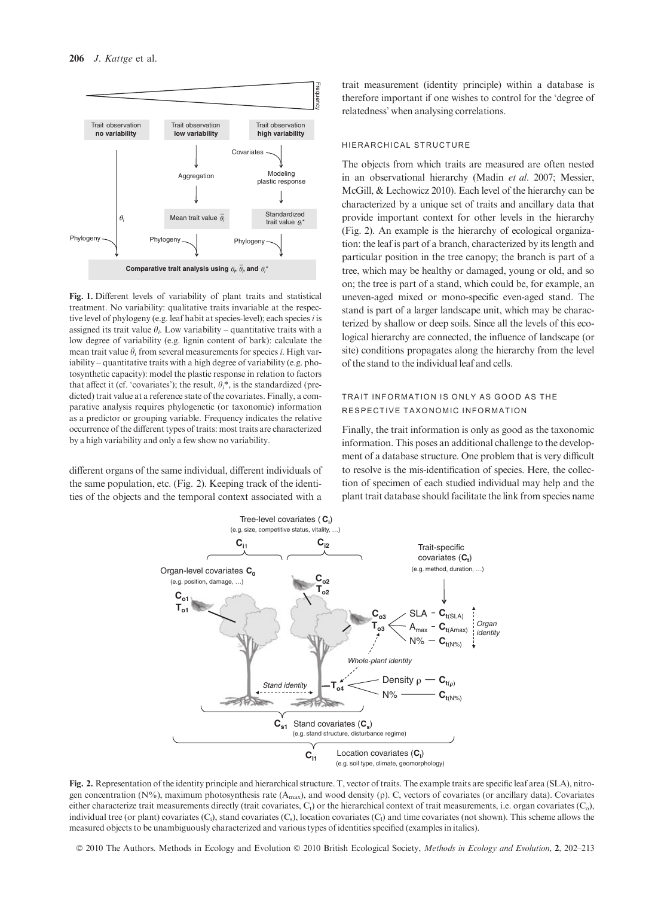

Fig. 1. Different levels of variability of plant traits and statistical treatment. No variability: qualitative traits invariable at the respective level of phylogeny (e.g. leaf habit at species-level); each species  $i$  is assigned its trait value  $\theta_i$ . Low variability – quantitative traits with a low degree of variability (e.g. lignin content of bark): calculate the mean trait value  $\bar{\theta}_i$  from several measurements for species *i*. High variability – quantitative traits with a high degree of variability (e.g. photosynthetic capacity): model the plastic response in relation to factors that affect it (cf. 'covariates'); the result,  $\theta_i^*$ , is the standardized (predicted) trait value at a reference state of the covariates. Finally, a comparative analysis requires phylogenetic (or taxonomic) information as a predictor or grouping variable. Frequency indicates the relative occurrence of the different types of traits: most traits are characterized by a high variability and only a few show no variability.

different organs of the same individual, different individuals of the same population, etc. (Fig. 2). Keeping track of the identities of the objects and the temporal context associated with a

trait measurement (identity principle) within a database is therefore important if one wishes to control for the 'degree of relatedness' when analysing correlations.

#### HIERARCHICAL STRUCTURE

The objects from which traits are measured are often nested in an observational hierarchy (Madin et al. 2007; Messier, McGill, & Lechowicz 2010). Each level of the hierarchy can be characterized by a unique set of traits and ancillary data that provide important context for other levels in the hierarchy (Fig. 2). An example is the hierarchy of ecological organization: the leaf is part of a branch, characterized by its length and particular position in the tree canopy; the branch is part of a tree, which may be healthy or damaged, young or old, and so on; the tree is part of a stand, which could be, for example, an uneven-aged mixed or mono-specific even-aged stand. The stand is part of a larger landscape unit, which may be characterized by shallow or deep soils. Since all the levels of this ecological hierarchy are connected, the influence of landscape (or site) conditions propagates along the hierarchy from the level of the stand to the individual leaf and cells.

#### TRAIT INFORMATION IS ONLY AS GOOD AS THE RESPECTIVE TAXONOMIC INFORMATION

Finally, the trait information is only as good as the taxonomic information. This poses an additional challenge to the development of a database structure. One problem that is very difficult to resolve is the mis-identification of species. Here, the collection of specimen of each studied individual may help and the plant trait database should facilitate the link from species name



Fig. 2. Representation of the identity principle and hierarchical structure. T, vector of traits. The example traits are specific leaf area (SLA), nitrogen concentration (N%), maximum photosynthesis rate  $(A_{max})$ , and wood density ( $\rho$ ). C, vectors of covariates (or ancillary data). Covariates either characterize trait measurements directly (trait covariates,  $C_t$ ) or the hierarchical context of trait measurements, i.e. organ covariates ( $C_o$ ), individual tree (or plant) covariates  $(C_i)$ , stand covariates  $(C_s)$ , location covariates  $(C_i)$  and time covariates (not shown). This scheme allows the measured objects to be unambiguously characterized and various types of identities specified (examples in italics).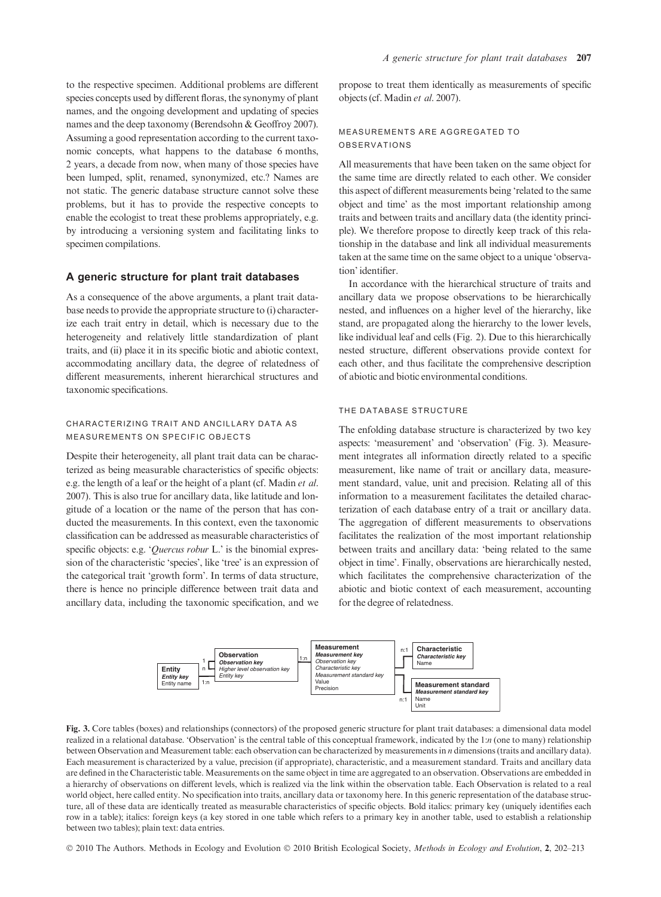to the respective specimen. Additional problems are different species concepts used by different floras, the synonymy of plant names, and the ongoing development and updating of species names and the deep taxonomy (Berendsohn & Geoffroy 2007). Assuming a good representation according to the current taxonomic concepts, what happens to the database 6 months, 2 years, a decade from now, when many of those species have been lumped, split, renamed, synonymized, etc.? Names are not static. The generic database structure cannot solve these problems, but it has to provide the respective concepts to enable the ecologist to treat these problems appropriately, e.g. by introducing a versioning system and facilitating links to specimen compilations.

# A generic structure for plant trait databases

As a consequence of the above arguments, a plant trait database needs to provide the appropriate structure to (i) characterize each trait entry in detail, which is necessary due to the heterogeneity and relatively little standardization of plant traits, and (ii) place it in its specific biotic and abiotic context, accommodating ancillary data, the degree of relatedness of different measurements, inherent hierarchical structures and taxonomic specifications.

### CHARACTERIZING TRAIT AND ANCILLARY DATA AS MEASUREMENTS ON SPECIFIC OBJECTS

Despite their heterogeneity, all plant trait data can be characterized as being measurable characteristics of specific objects: e.g. the length of a leaf or the height of a plant (cf. Madin et al. 2007). This is also true for ancillary data, like latitude and longitude of a location or the name of the person that has conducted the measurements. In this context, even the taxonomic classification can be addressed as measurable characteristics of specific objects: e.g. 'Quercus robur L.' is the binomial expression of the characteristic 'species', like 'tree' is an expression of the categorical trait 'growth form'. In terms of data structure, there is hence no principle difference between trait data and ancillary data, including the taxonomic specification, and we propose to treat them identically as measurements of specific objects (cf. Madin et al. 2007).

# MEASUREMENTS ARE AGGREGATED TO OBSERVATIONS

All measurements that have been taken on the same object for the same time are directly related to each other. We consider this aspect of different measurements being 'related to the same object and time' as the most important relationship among traits and between traits and ancillary data (the identity principle). We therefore propose to directly keep track of this relationship in the database and link all individual measurements taken at the same time on the same object to a unique 'observation' identifier.

In accordance with the hierarchical structure of traits and ancillary data we propose observations to be hierarchically nested, and influences on a higher level of the hierarchy, like stand, are propagated along the hierarchy to the lower levels, like individual leaf and cells (Fig. 2). Due to this hierarchically nested structure, different observations provide context for each other, and thus facilitate the comprehensive description of abiotic and biotic environmental conditions.

# THE DATABASE STRUCTURE

The enfolding database structure is characterized by two key aspects: 'measurement' and 'observation' (Fig. 3). Measurement integrates all information directly related to a specific measurement, like name of trait or ancillary data, measurement standard, value, unit and precision. Relating all of this information to a measurement facilitates the detailed characterization of each database entry of a trait or ancillary data. The aggregation of different measurements to observations facilitates the realization of the most important relationship between traits and ancillary data: 'being related to the same object in time'. Finally, observations are hierarchically nested, which facilitates the comprehensive characterization of the abiotic and biotic context of each measurement, accounting for the degree of relatedness.



Fig. 3. Core tables (boxes) and relationships (connectors) of the proposed generic structure for plant trait databases: a dimensional data model realized in a relational database. 'Observation' is the central table of this conceptual framework, indicated by the 1:n (one to many) relationship between Observation and Measurement table: each observation can be characterized by measurements in n dimensions (traits and ancillary data). Each measurement is characterized by a value, precision (if appropriate), characteristic, and a measurement standard. Traits and ancillary data are defined in the Characteristic table. Measurements on the same object in time are aggregated to an observation. Observations are embedded in a hierarchy of observations on different levels, which is realized via the link within the observation table. Each Observation is related to a real world object, here called entity. No specification into traits, ancillary data or taxonomy here. In this generic representation of the database structure, all of these data are identically treated as measurable characteristics of specific objects. Bold italics: primary key (uniquely identifies each row in a table); italics: foreign keys (a key stored in one table which refers to a primary key in another table, used to establish a relationship between two tables); plain text: data entries.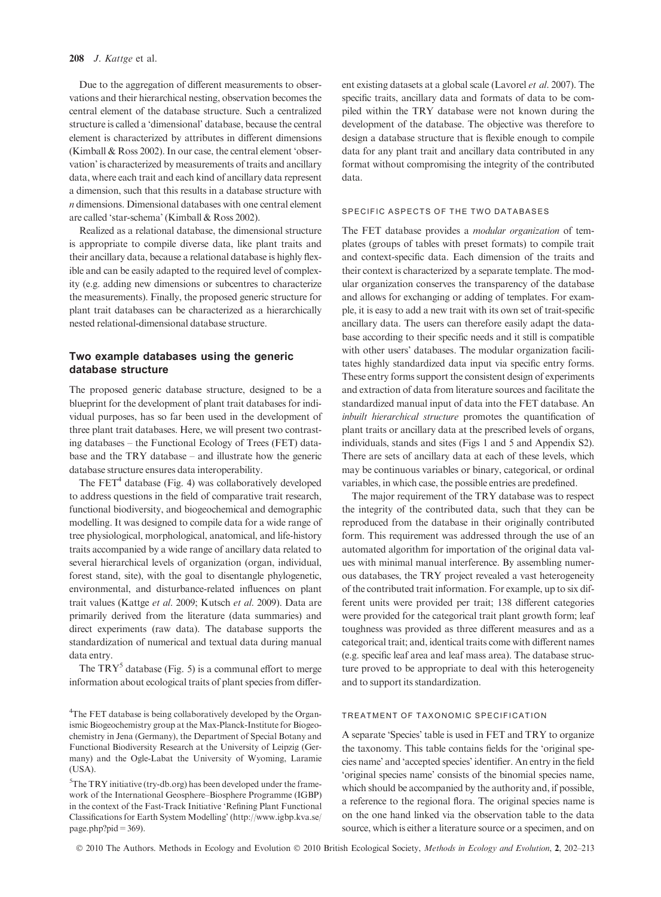Due to the aggregation of different measurements to observations and their hierarchical nesting, observation becomes the central element of the database structure. Such a centralized structure is called a 'dimensional' database, because the central element is characterized by attributes in different dimensions (Kimball & Ross 2002). In our case, the central element 'observation' is characterized by measurements of traits and ancillary data, where each trait and each kind of ancillary data represent a dimension, such that this results in a database structure with n dimensions. Dimensional databases with one central element are called 'star-schema' (Kimball & Ross 2002).

Realized as a relational database, the dimensional structure is appropriate to compile diverse data, like plant traits and their ancillary data, because a relational database is highly flexible and can be easily adapted to the required level of complexity (e.g. adding new dimensions or subcentres to characterize the measurements). Finally, the proposed generic structure for plant trait databases can be characterized as a hierarchically nested relational-dimensional database structure.

# Two example databases using the generic database structure

The proposed generic database structure, designed to be a blueprint for the development of plant trait databases for individual purposes, has so far been used in the development of three plant trait databases. Here, we will present two contrasting databases – the Functional Ecology of Trees (FET) database and the TRY database – and illustrate how the generic database structure ensures data interoperability.

The  $FET<sup>4</sup>$  database (Fig. 4) was collaboratively developed to address questions in the field of comparative trait research, functional biodiversity, and biogeochemical and demographic modelling. It was designed to compile data for a wide range of tree physiological, morphological, anatomical, and life-history traits accompanied by a wide range of ancillary data related to several hierarchical levels of organization (organ, individual, forest stand, site), with the goal to disentangle phylogenetic, environmental, and disturbance-related influences on plant trait values (Kattge et al. 2009; Kutsch et al. 2009). Data are primarily derived from the literature (data summaries) and direct experiments (raw data). The database supports the standardization of numerical and textual data during manual data entry.

The  $TRY<sup>5</sup>$  database (Fig. 5) is a communal effort to merge information about ecological traits of plant species from different existing datasets at a global scale (Lavorel et al. 2007). The specific traits, ancillary data and formats of data to be compiled within the TRY database were not known during the development of the database. The objective was therefore to design a database structure that is flexible enough to compile data for any plant trait and ancillary data contributed in any format without compromising the integrity of the contributed data.

#### SPECIFIC ASPECTS OF THE TWO DATABASES

The FET database provides a modular organization of templates (groups of tables with preset formats) to compile trait and context-specific data. Each dimension of the traits and their context is characterized by a separate template. The modular organization conserves the transparency of the database and allows for exchanging or adding of templates. For example, it is easy to add a new trait with its own set of trait-specific ancillary data. The users can therefore easily adapt the database according to their specific needs and it still is compatible with other users' databases. The modular organization facilitates highly standardized data input via specific entry forms. These entry forms support the consistent design of experiments and extraction of data from literature sources and facilitate the standardized manual input of data into the FET database. An inbuilt hierarchical structure promotes the quantification of plant traits or ancillary data at the prescribed levels of organs, individuals, stands and sites (Figs 1 and 5 and Appendix S2). There are sets of ancillary data at each of these levels, which may be continuous variables or binary, categorical, or ordinal variables, in which case, the possible entries are predefined.

The major requirement of the TRY database was to respect the integrity of the contributed data, such that they can be reproduced from the database in their originally contributed form. This requirement was addressed through the use of an automated algorithm for importation of the original data values with minimal manual interference. By assembling numerous databases, the TRY project revealed a vast heterogeneity of the contributed trait information. For example, up to six different units were provided per trait; 138 different categories were provided for the categorical trait plant growth form; leaf toughness was provided as three different measures and as a categorical trait; and, identical traits come with different names (e.g. specific leaf area and leaf mass area). The database structure proved to be appropriate to deal with this heterogeneity and to support its standardization.

# TREATMENT OF TAXONOMIC SPECIFICATION

A separate 'Species' table is used in FET and TRY to organize the taxonomy. This table contains fields for the 'original species name' and 'accepted species' identifier. An entry in the field 'original species name' consists of the binomial species name, which should be accompanied by the authority and, if possible, a reference to the regional flora. The original species name is on the one hand linked via the observation table to the data source, which is either a literature source or a specimen, and on

<sup>&</sup>lt;sup>4</sup>The FET database is being collaboratively developed by the Organismic Biogeochemistry group at the Max-Planck-Institute for Biogeochemistry in Jena (Germany), the Department of Special Botany and Functional Biodiversity Research at the University of Leipzig (Germany) and the Ogle-Labat the University of Wyoming, Laramie (USA).

 ${}^{5}$ The TRY initiative (try-db.org) has been developed under the framework of the International Geosphere–Biosphere Programme (IGBP) in the context of the Fast-Track Initiative 'Refining Plant Functional Classifications for Earth System Modelling' (http://www.igbp.kva.se/ page.php?pid= $369$ ).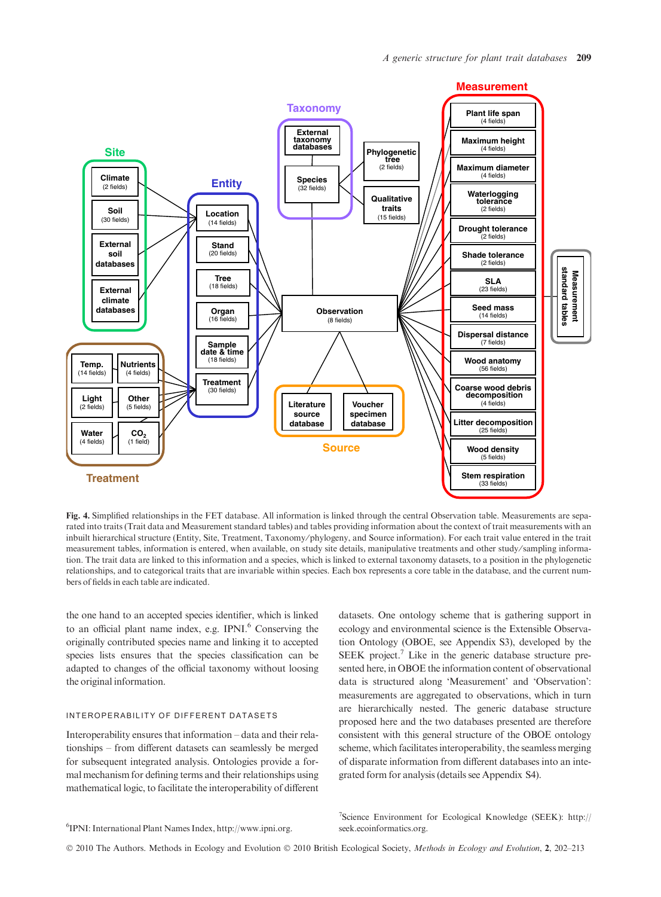

Fig. 4. Simplified relationships in the FET database. All information is linked through the central Observation table. Measurements are separated into traits (Trait data and Measurement standard tables) and tables providing information about the context of trait measurements with an inbuilt hierarchical structure (Entity, Site, Treatment, Taxonomy ⁄ phylogeny, and Source information). For each trait value entered in the trait measurement tables, information is entered, when available, on study site details, manipulative treatments and other study ⁄sampling information. The trait data are linked to this information and a species, which is linked to external taxonomy datasets, to a position in the phylogenetic relationships, and to categorical traits that are invariable within species. Each box represents a core table in the database, and the current numbers of fields in each table are indicated.

the one hand to an accepted species identifier, which is linked to an official plant name index, e.g. IPNI.<sup>6</sup> Conserving the originally contributed species name and linking it to accepted species lists ensures that the species classification can be adapted to changes of the official taxonomy without loosing the original information.

# INTEROPERABILITY OF DIFFERENT DATASETS

Interoperability ensures that information – data and their relationships – from different datasets can seamlessly be merged for subsequent integrated analysis. Ontologies provide a formal mechanism for defining terms and their relationships using mathematical logic, to facilitate the interoperability of different datasets. One ontology scheme that is gathering support in ecology and environmental science is the Extensible Observation Ontology (OBOE, see Appendix S3), developed by the SEEK project.<sup>7</sup> Like in the generic database structure presented here, in OBOE the information content of observational data is structured along 'Measurement' and 'Observation': measurements are aggregated to observations, which in turn are hierarchically nested. The generic database structure proposed here and the two databases presented are therefore consistent with this general structure of the OBOE ontology scheme, which facilitates interoperability, the seamless merging of disparate information from different databases into an integrated form for analysis (details see Appendix S4).

6 IPNI: International Plant Names Index, http://www.ipni.org.

7 Science Environment for Ecological Knowledge (SEEK): http:// seek.ecoinformatics.org.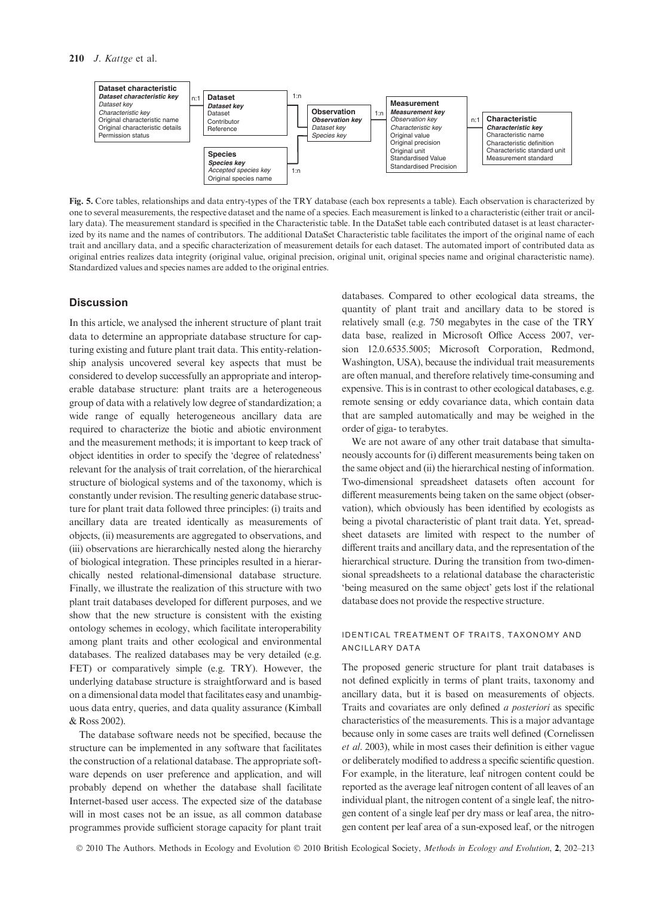

Fig. 5. Core tables, relationships and data entry-types of the TRY database (each box represents a table). Each observation is characterized by one to several measurements, the respective dataset and the name of a species. Each measurement is linked to a characteristic (either trait or ancillary data). The measurement standard is specified in the Characteristic table. In the DataSet table each contributed dataset is at least characterized by its name and the names of contributors. The additional DataSet Characteristic table facilitates the import of the original name of each trait and ancillary data, and a specific characterization of measurement details for each dataset. The automated import of contributed data as original entries realizes data integrity (original value, original precision, original unit, original species name and original characteristic name). Standardized values and species names are added to the original entries.

# **Discussion**

In this article, we analysed the inherent structure of plant trait data to determine an appropriate database structure for capturing existing and future plant trait data. This entity-relationship analysis uncovered several key aspects that must be considered to develop successfully an appropriate and interoperable database structure: plant traits are a heterogeneous group of data with a relatively low degree of standardization; a wide range of equally heterogeneous ancillary data are required to characterize the biotic and abiotic environment and the measurement methods; it is important to keep track of object identities in order to specify the 'degree of relatedness' relevant for the analysis of trait correlation, of the hierarchical structure of biological systems and of the taxonomy, which is constantly under revision. The resulting generic database structure for plant trait data followed three principles: (i) traits and ancillary data are treated identically as measurements of objects, (ii) measurements are aggregated to observations, and (iii) observations are hierarchically nested along the hierarchy of biological integration. These principles resulted in a hierarchically nested relational-dimensional database structure. Finally, we illustrate the realization of this structure with two plant trait databases developed for different purposes, and we show that the new structure is consistent with the existing ontology schemes in ecology, which facilitate interoperability among plant traits and other ecological and environmental databases. The realized databases may be very detailed (e.g. FET) or comparatively simple (e.g. TRY). However, the underlying database structure is straightforward and is based on a dimensional data model that facilitates easy and unambiguous data entry, queries, and data quality assurance (Kimball & Ross 2002).

The database software needs not be specified, because the structure can be implemented in any software that facilitates the construction of a relational database. The appropriate software depends on user preference and application, and will probably depend on whether the database shall facilitate Internet-based user access. The expected size of the database will in most cases not be an issue, as all common database programmes provide sufficient storage capacity for plant trait databases. Compared to other ecological data streams, the quantity of plant trait and ancillary data to be stored is relatively small (e.g. 750 megabytes in the case of the TRY data base, realized in Microsoft Office Access 2007, version 12.0.6535.5005; Microsoft Corporation, Redmond, Washington, USA), because the individual trait measurements are often manual, and therefore relatively time-consuming and expensive. This is in contrast to other ecological databases, e.g. remote sensing or eddy covariance data, which contain data that are sampled automatically and may be weighed in the order of giga- to terabytes.

We are not aware of any other trait database that simultaneously accounts for (i) different measurements being taken on the same object and (ii) the hierarchical nesting of information. Two-dimensional spreadsheet datasets often account for different measurements being taken on the same object (observation), which obviously has been identified by ecologists as being a pivotal characteristic of plant trait data. Yet, spreadsheet datasets are limited with respect to the number of different traits and ancillary data, and the representation of the hierarchical structure. During the transition from two-dimensional spreadsheets to a relational database the characteristic 'being measured on the same object' gets lost if the relational database does not provide the respective structure.

#### IDENTICAL TREATMENT OF TRAITS, TAXONOMY AND ANCILLARY DATA

The proposed generic structure for plant trait databases is not defined explicitly in terms of plant traits, taxonomy and ancillary data, but it is based on measurements of objects. Traits and covariates are only defined a posteriori as specific characteristics of the measurements. This is a major advantage because only in some cases are traits well defined (Cornelissen et al. 2003), while in most cases their definition is either vague or deliberately modified to address a specific scientific question. For example, in the literature, leaf nitrogen content could be reported as the average leaf nitrogen content of all leaves of an individual plant, the nitrogen content of a single leaf, the nitrogen content of a single leaf per dry mass or leaf area, the nitrogen content per leaf area of a sun-exposed leaf, or the nitrogen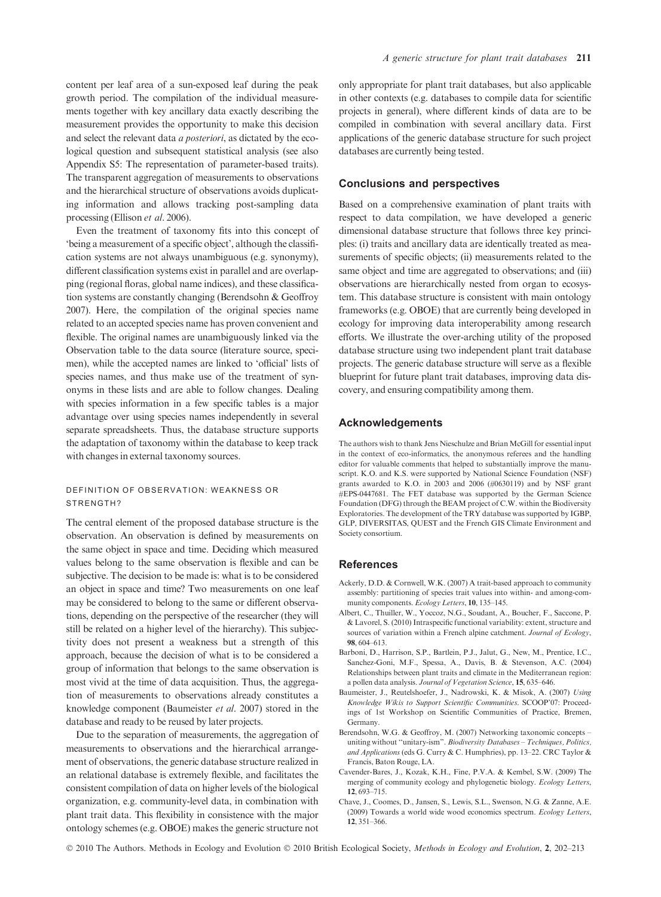content per leaf area of a sun-exposed leaf during the peak growth period. The compilation of the individual measurements together with key ancillary data exactly describing the measurement provides the opportunity to make this decision and select the relevant data a posteriori, as dictated by the ecological question and subsequent statistical analysis (see also Appendix S5: The representation of parameter-based traits). The transparent aggregation of measurements to observations and the hierarchical structure of observations avoids duplicating information and allows tracking post-sampling data processing (Ellison et al. 2006).

Even the treatment of taxonomy fits into this concept of 'being a measurement of a specific object', although the classification systems are not always unambiguous (e.g. synonymy), different classification systems exist in parallel and are overlapping (regional floras, global name indices), and these classification systems are constantly changing (Berendsohn & Geoffroy 2007). Here, the compilation of the original species name related to an accepted species name has proven convenient and flexible. The original names are unambiguously linked via the Observation table to the data source (literature source, specimen), while the accepted names are linked to 'official' lists of species names, and thus make use of the treatment of synonyms in these lists and are able to follow changes. Dealing with species information in a few specific tables is a major advantage over using species names independently in several separate spreadsheets. Thus, the database structure supports the adaptation of taxonomy within the database to keep track with changes in external taxonomy sources.

### DEFINITION OF OBSERVATION: WEAKNESS OR STRENGTH?

The central element of the proposed database structure is the observation. An observation is defined by measurements on the same object in space and time. Deciding which measured values belong to the same observation is flexible and can be subjective. The decision to be made is: what is to be considered an object in space and time? Two measurements on one leaf may be considered to belong to the same or different observations, depending on the perspective of the researcher (they will still be related on a higher level of the hierarchy). This subjectivity does not present a weakness but a strength of this approach, because the decision of what is to be considered a group of information that belongs to the same observation is most vivid at the time of data acquisition. Thus, the aggregation of measurements to observations already constitutes a knowledge component (Baumeister et al. 2007) stored in the database and ready to be reused by later projects.

Due to the separation of measurements, the aggregation of measurements to observations and the hierarchical arrangement of observations, the generic database structure realized in an relational database is extremely flexible, and facilitates the consistent compilation of data on higher levels of the biological organization, e.g. community-level data, in combination with plant trait data. This flexibility in consistence with the major ontology schemes (e.g. OBOE) makes the generic structure not

only appropriate for plant trait databases, but also applicable in other contexts (e.g. databases to compile data for scientific projects in general), where different kinds of data are to be compiled in combination with several ancillary data. First applications of the generic database structure for such project databases are currently being tested.

#### Conclusions and perspectives

Based on a comprehensive examination of plant traits with respect to data compilation, we have developed a generic dimensional database structure that follows three key principles: (i) traits and ancillary data are identically treated as measurements of specific objects; (ii) measurements related to the same object and time are aggregated to observations; and (iii) observations are hierarchically nested from organ to ecosystem. This database structure is consistent with main ontology frameworks (e.g. OBOE) that are currently being developed in ecology for improving data interoperability among research efforts. We illustrate the over-arching utility of the proposed database structure using two independent plant trait database projects. The generic database structure will serve as a flexible blueprint for future plant trait databases, improving data discovery, and ensuring compatibility among them.

#### Acknowledgements

The authors wish to thank Jens Nieschulze and Brian McGill for essential input in the context of eco-informatics, the anonymous referees and the handling editor for valuable comments that helped to substantially improve the manuscript. K.O. and K.S. were supported by National Science Foundation (NSF) grants awarded to K.O. in 2003 and 2006 (#0630119) and by NSF grant #EPS-0447681. The FET database was supported by the German Science Foundation (DFG) through the BEAM project of C.W. within the Biodiversity Exploratories. The development of the TRY database was supported by IGBP, GLP, DIVERSITAS, QUEST and the French GIS Climate Environment and Society consortium.

#### References

- Ackerly, D.D. & Cornwell, W.K. (2007) A trait-based approach to community assembly: partitioning of species trait values into within- and among-community components. Ecology Letters, 10, 135–145.
- Albert, C., Thuiller, W., Yoccoz, N.G., Soudant, A., Boucher, F., Saccone, P. & Lavorel, S. (2010) Intraspecific functional variability: extent, structure and sources of variation within a French alpine catchment. Journal of Ecology, 98, 604–613.
- Barboni, D., Harrison, S.P., Bartlein, P.J., Jalut, G., New, M., Prentice, I.C., Sanchez-Goni, M.F., Spessa, A., Davis, B. & Stevenson, A.C. (2004) Relationships between plant traits and climate in the Mediterranean region: a pollen data analysis. Journal of Vegetation Science, 15, 635–646.
- Baumeister, J., Reutelshoefer, J., Nadrowski, K. & Misok, A. (2007) Using Knowledge Wikis to Support Scientific Communities. SCOOP'07: Proceedings of 1st Workshop on Scientific Communities of Practice, Bremen, Germany.
- Berendsohn, W.G. & Geoffroy, M. (2007) Networking taxonomic concepts uniting without "unitary-ism". Biodiversity Databases – Techniques, Politics, and Applications (eds G. Curry & C. Humphries), pp. 13–22. CRC Taylor & Francis, Baton Rouge, LA.
- Cavender-Bares, J., Kozak, K.H., Fine, P.V.A. & Kembel, S.W. (2009) The merging of community ecology and phylogenetic biology. Ecology Letters, 12, 693–715.
- Chave, J., Coomes, D., Jansen, S., Lewis, S.L., Swenson, N.G. & Zanne, A.E. (2009) Towards a world wide wood economics spectrum. Ecology Letters, 12, 351–366.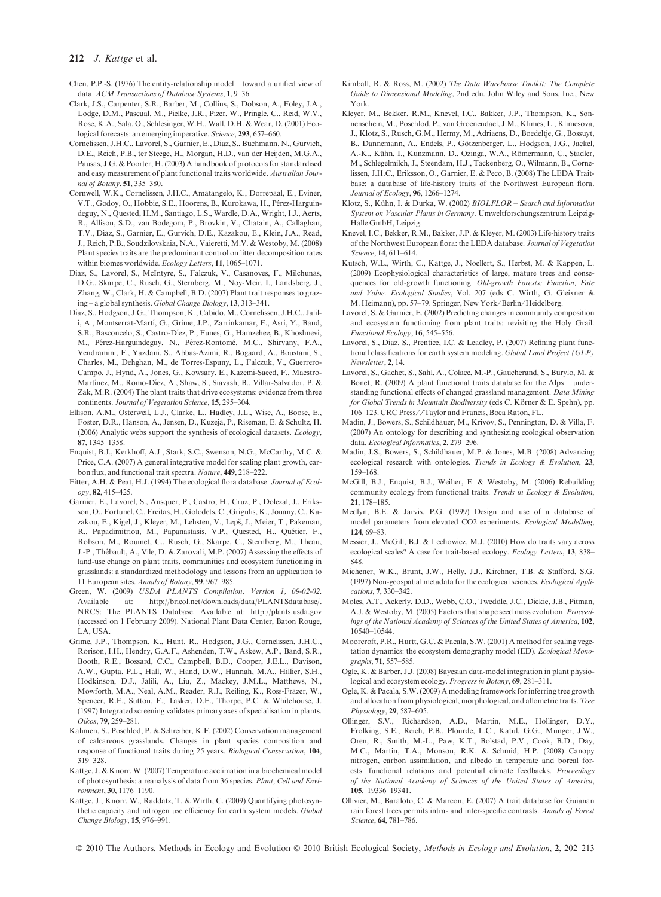- Chen, P.P.-S. (1976) The entity-relationship model toward a unified view of data. ACM Transactions of Database Systems, 1, 9–36.
- Clark, J.S., Carpenter, S.R., Barber, M., Collins, S., Dobson, A., Foley, J.A., Lodge, D.M., Pascual, M., Pielke, J.R., Pizer, W., Pringle, C., Reid, W.V., Rose, K.A., Sala, O., Schlesinger, W.H., Wall, D.H. & Wear, D. (2001) Ecological forecasts: an emerging imperative. Science, 293, 657-660.
- Cornelissen, J.H.C., Lavorel, S., Garnier, E., Diaz, S., Buchmann, N., Gurvich, D.E., Reich, P.B., ter Steege, H., Morgan, H.D., van der Heijden, M.G.A., Pausas, J.G. & Poorter, H. (2003) A handbook of protocols for standardised and easy measurement of plant functional traits worldwide. Australian Journal of Botany, 51, 335–380.
- Cornwell, W.K., Cornelissen, J.H.C., Amatangelo, K., Dorrepaal, E., Eviner, V.T., Godov, O., Hobbie, S.E., Hoorens, B., Kurokawa, H., Pérez-Harguindeguy, N., Quested, H.M., Santiago, L.S., Wardle, D.A., Wright, I.J., Aerts, R., Allison, S.D., van Bodegom, P., Brovkin, V., Chatain, A., Callaghan, T.V., Díaz, S., Garnier, E., Gurvich, D.E., Kazakou, E., Klein, J.A., Read, J., Reich, P.B., Soudzilovskaia, N.A., Vaieretti, M.V. & Westoby, M. (2008) Plant species traits are the predominant control on litter decomposition rates within biomes worldwide. Ecology Letters, 11, 1065–1071.
- Diaz, S., Lavorel, S., McIntyre, S., Falczuk, V., Casanoves, F., Milchunas, D.G., Skarpe, C., Rusch, G., Sternberg, M., Noy-Meir, I., Landsberg, J., Zhang, W., Clark, H. & Campbell, B.D. (2007) Plant trait responses to grazing – a global synthesis. Global Change Biology, 13, 313–341.
- Díaz, S., Hodgson, J.G., Thompson, K., Cabido, M., Cornelissen, J.H.C., Jalili, A., Montserrat-Martí, G., Grime, J.P., Zarrinkamar, F., Asri, Y., Band, S.R., Basconcelo, S., Castro-Díez, P., Funes, G., Hamzehee, B., Khoshnevi, M., Pérez-Harguindeguy, N., Pérez-Rontomé, M.C., Shirvany, F.A., Vendramini, F., Yazdani, S., Abbas-Azimi, R., Bogaard, A., Boustani, S., Charles, M., Dehghan, M., de Torres-Espuny, L., Falczuk, V., Guerrero-Campo, J., Hynd, A., Jones, G., Kowsary, E., Kazemi-Saeed, F., Maestro-Martínez, M., Romo-Díez, A., Shaw, S., Siavash, B., Villar-Salvador, P. & Zak, M.R. (2004) The plant traits that drive ecosystems: evidence from three continents. Journal of Vegetation Science, 15, 295–304.
- Ellison, A.M., Osterweil, L.J., Clarke, L., Hadley, J.L., Wise, A., Boose, E., Foster, D.R., Hanson, A., Jensen, D., Kuzeja, P., Riseman, E. & Schultz, H. (2006) Analytic webs support the synthesis of ecological datasets. Ecology, 87, 1345–1358.
- Enquist, B.J., Kerkhoff, A.J., Stark, S.C., Swenson, N.G., McCarthy, M.C. & Price, C.A. (2007) A general integrative model for scaling plant growth, carbon flux, and functional trait spectra. Nature, 449, 218–222.
- Fitter, A.H. & Peat, H.J. (1994) The ecological flora database. Journal of Ecology, 82, 415–425.
- Garnier, E., Lavorel, S., Ansquer, P., Castro, H., Cruz, P., Dolezal, J., Eriksson, O., Fortunel, C., Freitas, H., Golodets, C., Grigulis, K., Jouany, C., Kazakou, E., Kigel, J., Kleyer, M., Lehsten, V., Lepš, J., Meier, T., Pakeman, R., Papadimitriou, M., Papanastasis, V.P., Quested, H., Quétier, F., Robson, M., Roumet, C., Rusch, G., Skarpe, C., Sternberg, M., Theau, J.-P., Thébault, A., Vile, D. & Zarovali, M.P. (2007) Assessing the effects of land-use change on plant traits, communities and ecosystem functioning in grasslands: a standardized methodology and lessons from an application to 11 European sites. Annals of Botany, 99, 967–985.
- Green, W. (2009) USDA PLANTS Compilation, Version 1, 09-02-02. Available at: http://bricol.net/downloads/data/PLANTSdatabase/. NRCS: The PLANTS Database. Available at: http://plants.usda.gov (accessed on 1 February 2009). National Plant Data Center, Baton Rouge, LA, USA.
- Grime, J.P., Thompson, K., Hunt, R., Hodgson, J.G., Cornelissen, J.H.C., Rorison, I.H., Hendry, G.A.F., Ashenden, T.W., Askew, A.P., Band, S.R., Booth, R.E., Bossard, C.C., Campbell, B.D., Cooper, J.E.L., Davison, A.W., Gupta, P.L., Hall, W., Hand, D.W., Hannah, M.A., Hillier, S.H., Hodkinson, D.J., Jalili, A., Liu, Z., Mackey, J.M.L., Matthews, N., Mowforth, M.A., Neal, A.M., Reader, R.J., Reiling, K., Ross-Frazer, W., Spencer, R.E., Sutton, F., Tasker, D.E., Thorpe, P.C. & Whitehouse, J. (1997) Integrated screening validates primary axes of specialisation in plants. Oikos, 79, 259–281.
- Kahmen, S., Poschlod, P. & Schreiber, K.F. (2002) Conservation management of calcareous grasslands. Changes in plant species composition and response of functional traits during 25 years. Biological Conservation, 104, 319–328.
- Kattge, J. & Knorr, W. (2007) Temperature acclimation in a biochemical model of photosynthesis: a reanalysis of data from 36 species. Plant, Cell and Environment, 30, 1176–1190.
- Kattge, J., Knorr, W., Raddatz, T. & Wirth, C. (2009) Quantifying photosynthetic capacity and nitrogen use efficiency for earth system models. Global Change Biology, 15, 976–991.
- Kimball, R. & Ross, M. (2002) The Data Warehouse Toolkit: The Complete Guide to Dimensional Modeling, 2nd edn. John Wiley and Sons, Inc., New York.
- Kleyer, M., Bekker, R.M., Knevel, I.C., Bakker, J.P., Thompson, K., Sonnenschein, M., Poschlod, P., van Groenendael, J.M., Klimes, L., Klimesova, J., Klotz, S., Rusch, G.M., Hermy, M., Adriaens, D., Boedeltje, G., Bossuyt, B., Dannemann, A., Endels, P., Götzenberger, L., Hodgson, J.G., Jackel, A.-K., Kühn, I., Kunzmann, D., Ozinga, W.A., Römermann, C., Stadler, M., Schlegelmilch, J., Steendam, H.J., Tackenberg, O., Wilmann, B., Cornelissen, J.H.C., Eriksson, O., Garnier, E. & Peco, B. (2008) The LEDA Traitbase: a database of life-history traits of the Northwest European flora. Journal of Ecology, 96, 1266–1274.
- Klotz, S., Kühn, I. & Durka, W. (2002) BIOLFLOR Search and Information System on Vascular Plants in Germany. Umweltforschungszentrum Leipzig-Halle GmbH, Leipzig.
- Knevel, I.C., Bekker, R.M., Bakker, J.P. & Kleyer, M. (2003) Life-history traits of the Northwest European flora: the LEDA database. Journal of Vegetation Science, 14, 611–614.
- Kutsch, W.L., Wirth, C., Kattge, J., Noellert, S., Herbst, M. & Kappen, L. (2009) Ecophysiological characteristics of large, mature trees and consequences for old-growth functioning. Old-growth Forests: Function, Fate and Value. Ecological Studies, Vol. 207 (eds C. Wirth, G. Gleixner & M. Heimann), pp. 57–79. Springer, New York/Berlin/Heidelberg.
- Lavorel, S. & Garnier, E. (2002) Predicting changes in community composition and ecosystem functioning from plant traits: revisiting the Holy Grail. Functional Ecology, 16, 545–556.
- Lavorel, S., Diaz, S., Prentice, I.C. & Leadley, P. (2007) Refining plant functional classifications for earth system modeling. Global Land Project (GLP) Newsletter, 2, 14.
- Lavorel, S., Gachet, S., Sahl, A., Colace, M.-P., Gaucherand, S., Burylo, M. & Bonet, R. (2009) A plant functional traits database for the Alps – understanding functional effects of changed grassland management. Data Mining for Global Trends in Mountain Biodiversity (eds C. Körner & E. Spehn), pp. 106–123. CRC Press⁄ ⁄ Taylor and Francis, Boca Raton, FL.
- Madin, J., Bowers, S., Schildhauer, M., Krivov, S., Pennington, D. & Villa, F. (2007) An ontology for describing and synthesizing ecological observation data. Ecological Informatics, 2, 279–296.
- Madin, J.S., Bowers, S., Schildhauer, M.P. & Jones, M.B. (2008) Advancing ecological research with ontologies. Trends in Ecology & Evolution, 23, 159–168.
- McGill, B.J., Enquist, B.J., Weiher, E. & Westoby, M. (2006) Rebuilding community ecology from functional traits. Trends in Ecology & Evolution, 21, 178–185.
- Medlyn, B.E. & Jarvis, P.G. (1999) Design and use of a database of model parameters from elevated CO2 experiments. Ecological Modelling, 124, 69–83.
- Messier, J., McGill, B.J. & Lechowicz, M.J. (2010) How do traits vary across ecological scales? A case for trait-based ecology. Ecology Letters, 13, 838– 848.
- Michener, W.K., Brunt, J.W., Helly, J.J., Kirchner, T.B. & Stafford, S.G. (1997) Non-geospatial metadata for the ecological sciences. Ecological Applications, 7, 330–342.
- Moles, A.T., Ackerly, D.D., Webb, C.O., Tweddle, J.C., Dickie, J.B., Pitman, A.J. & Westoby, M. (2005) Factors that shape seed mass evolution. Proceedings of the National Academy of Sciences of the United States of America, 102, 10540–10544.
- Moorcroft, P.R., Hurtt, G.C. & Pacala, S.W. (2001) A method for scaling vegetation dynamics: the ecosystem demography model (ED). Ecological Monographs, 71, 557–585.
- Ogle, K. & Barber, J.J. (2008) Bayesian data-model integration in plant physiological and ecosystem ecology. Progress in Botany, 69, 281–311.
- Ogle, K. & Pacala, S.W. (2009) A modeling framework for inferring tree growth and allocation from physiological, morphological, and allometric traits. Tree Physiology, 29, 587–605.
- Ollinger, S.V., Richardson, A.D., Martin, M.E., Hollinger, D.Y., Frolking, S.E., Reich, P.B., Plourde, L.C., Katul, G.G., Munger, J.W., Oren, R., Smith, M.-L., Paw, K.T., Bolstad, P.V., Cook, B.D., Day, M.C., Martin, T.A., Monson, R.K. & Schmid, H.P. (2008) Canopy nitrogen, carbon assimilation, and albedo in temperate and boreal forests: functional relations and potential climate feedbacks. Proceedings of the National Academy of Sciences of the United States of America, 105, 19336–19341.
- Ollivier, M., Baraloto, C. & Marcon, E. (2007) A trait database for Guianan rain forest trees permits intra- and inter-specific contrasts. Annals of Forest Science, 64, 781–786.